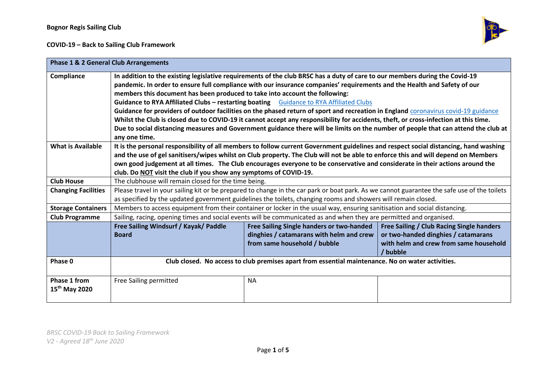# **COVID-19 – Back to Sailing Club Framework**



| <b>Phase 1 &amp; 2 General Club Arrangements</b> |                                                                                                                                             |                                           |                                           |
|--------------------------------------------------|---------------------------------------------------------------------------------------------------------------------------------------------|-------------------------------------------|-------------------------------------------|
| Compliance                                       | In addition to the existing legislative requirements of the club BRSC has a duty of care to our members during the Covid-19                 |                                           |                                           |
|                                                  | pandemic. In order to ensure full compliance with our insurance companies' requirements and the Health and Safety of our                    |                                           |                                           |
|                                                  | members this document has been produced to take into account the following:                                                                 |                                           |                                           |
|                                                  | Guidance to RYA Affiliated Clubs - restarting boating Guidance to RYA Affiliated Clubs                                                      |                                           |                                           |
|                                                  | Guidance for providers of outdoor facilities on the phased return of sport and recreation in England coronavirus covid-19 guidance          |                                           |                                           |
|                                                  | Whilst the Club is closed due to COVID-19 it cannot accept any responsibility for accidents, theft, or cross-infection at this time.        |                                           |                                           |
|                                                  | Due to social distancing measures and Government guidance there will be limits on the number of people that can attend the club at          |                                           |                                           |
|                                                  | any one time.                                                                                                                               |                                           |                                           |
| <b>What is Available</b>                         | It is the personal responsibility of all members to follow current Government guidelines and respect social distancing, hand washing        |                                           |                                           |
|                                                  | and the use of gel sanitisers/wipes whilst on Club property. The Club will not be able to enforce this and will depend on Members           |                                           |                                           |
|                                                  | own good judgement at all times. The Club encourages everyone to be conservative and considerate in their actions around the                |                                           |                                           |
|                                                  | club. Do NOT visit the club if you show any symptoms of COVID-19.                                                                           |                                           |                                           |
| <b>Club House</b>                                | The clubhouse will remain closed for the time being.                                                                                        |                                           |                                           |
| <b>Changing Facilities</b>                       | Please travel in your sailing kit or be prepared to change in the car park or boat park. As we cannot guarantee the safe use of the toilets |                                           |                                           |
|                                                  | as specified by the updated government guidelines the toilets, changing rooms and showers will remain closed.                               |                                           |                                           |
| <b>Storage Containers</b>                        | Members to access equipment from their container or locker in the usual way, ensuring sanitisation and social distancing.                   |                                           |                                           |
| <b>Club Programme</b>                            | Sailing, racing, opening times and social events will be communicated as and when they are permitted and organised.                         |                                           |                                           |
|                                                  | Free Sailing Windsurf / Kayak/ Paddle                                                                                                       | Free Sailing Single handers or two-handed | Free Sailing / Club Racing Single handers |
|                                                  | <b>Board</b>                                                                                                                                | dinghies / catamarans with helm and crew  | or two-handed dinghies / catamarans       |
|                                                  |                                                                                                                                             | from same household / bubble              | with helm and crew from same household    |
|                                                  |                                                                                                                                             |                                           | / bubble                                  |
| Phase 0                                          | Club closed. No access to club premises apart from essential maintenance. No on water activities.                                           |                                           |                                           |
|                                                  |                                                                                                                                             |                                           |                                           |
| Phase 1 from                                     | Free Sailing permitted                                                                                                                      | <b>NA</b>                                 |                                           |
| 15 <sup>th</sup> May 2020                        |                                                                                                                                             |                                           |                                           |
|                                                  |                                                                                                                                             |                                           |                                           |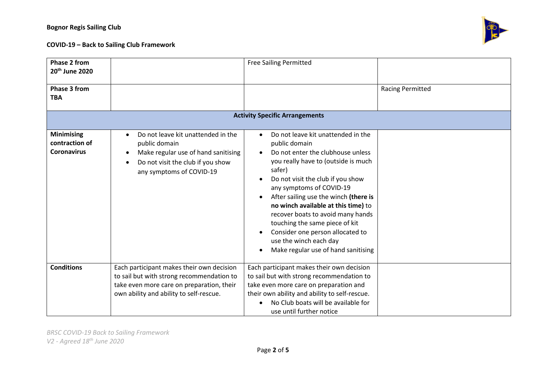# **COVID-19 – Back to Sailing Club Framework**



| <b>Phase 2 from</b><br>20 <sup>th</sup> June 2020         |                                                                                                                                                                                       | <b>Free Sailing Permitted</b>                                                                                                                                                                                                                                                                                                                                                                                                                                                                                                                        |                         |
|-----------------------------------------------------------|---------------------------------------------------------------------------------------------------------------------------------------------------------------------------------------|------------------------------------------------------------------------------------------------------------------------------------------------------------------------------------------------------------------------------------------------------------------------------------------------------------------------------------------------------------------------------------------------------------------------------------------------------------------------------------------------------------------------------------------------------|-------------------------|
| <b>Phase 3 from</b><br><b>TBA</b>                         |                                                                                                                                                                                       |                                                                                                                                                                                                                                                                                                                                                                                                                                                                                                                                                      | <b>Racing Permitted</b> |
| <b>Activity Specific Arrangements</b>                     |                                                                                                                                                                                       |                                                                                                                                                                                                                                                                                                                                                                                                                                                                                                                                                      |                         |
| <b>Minimising</b><br>contraction of<br><b>Coronavirus</b> | Do not leave kit unattended in the<br>$\bullet$<br>public domain<br>Make regular use of hand sanitising<br>Do not visit the club if you show<br>$\bullet$<br>any symptoms of COVID-19 | Do not leave kit unattended in the<br>$\bullet$<br>public domain<br>Do not enter the clubhouse unless<br>$\bullet$<br>you really have to (outside is much<br>safer)<br>Do not visit the club if you show<br>$\bullet$<br>any symptoms of COVID-19<br>After sailing use the winch (there is<br>$\bullet$<br>no winch available at this time) to<br>recover boats to avoid many hands<br>touching the same piece of kit<br>Consider one person allocated to<br>$\bullet$<br>use the winch each day<br>Make regular use of hand sanitising<br>$\bullet$ |                         |
| <b>Conditions</b>                                         | Each participant makes their own decision<br>to sail but with strong recommendation to<br>take even more care on preparation, their<br>own ability and ability to self-rescue.        | Each participant makes their own decision<br>to sail but with strong recommendation to<br>take even more care on preparation and<br>their own ability and ability to self-rescue.<br>No Club boats will be available for<br>use until further notice                                                                                                                                                                                                                                                                                                 |                         |

*BRSC COVID-19 Back to Sailing Framework V2 - Agreed 18th June 2020*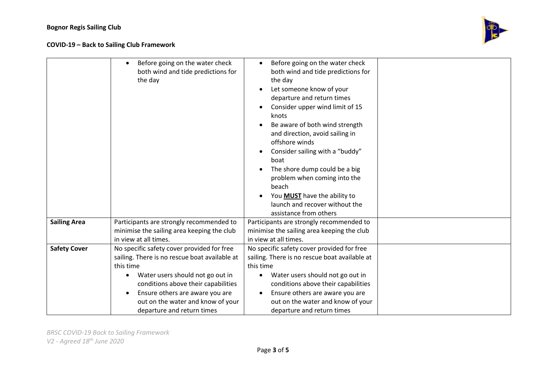

|                     | Before going on the water check<br>both wind and tide predictions for<br>the day | Before going on the water check<br>$\bullet$<br>both wind and tide predictions for<br>the day<br>Let someone know of your<br>departure and return times<br>Consider upper wind limit of 15<br>knots<br>Be aware of both wind strength<br>and direction, avoid sailing in<br>offshore winds<br>Consider sailing with a "buddy"<br>boat<br>The shore dump could be a big<br>problem when coming into the<br>beach<br>You MUST have the ability to<br>$\bullet$<br>launch and recover without the<br>assistance from others |  |
|---------------------|----------------------------------------------------------------------------------|--------------------------------------------------------------------------------------------------------------------------------------------------------------------------------------------------------------------------------------------------------------------------------------------------------------------------------------------------------------------------------------------------------------------------------------------------------------------------------------------------------------------------|--|
| <b>Sailing Area</b> | Participants are strongly recommended to                                         | Participants are strongly recommended to                                                                                                                                                                                                                                                                                                                                                                                                                                                                                 |  |
|                     | minimise the sailing area keeping the club                                       | minimise the sailing area keeping the club                                                                                                                                                                                                                                                                                                                                                                                                                                                                               |  |
|                     | in view at all times.                                                            | in view at all times.                                                                                                                                                                                                                                                                                                                                                                                                                                                                                                    |  |
| <b>Safety Cover</b> | No specific safety cover provided for free                                       | No specific safety cover provided for free                                                                                                                                                                                                                                                                                                                                                                                                                                                                               |  |
|                     | sailing. There is no rescue boat available at                                    | sailing. There is no rescue boat available at                                                                                                                                                                                                                                                                                                                                                                                                                                                                            |  |
|                     | this time                                                                        | this time                                                                                                                                                                                                                                                                                                                                                                                                                                                                                                                |  |
|                     | Water users should not go out in                                                 | Water users should not go out in<br>٠                                                                                                                                                                                                                                                                                                                                                                                                                                                                                    |  |
|                     | conditions above their capabilities                                              | conditions above their capabilities                                                                                                                                                                                                                                                                                                                                                                                                                                                                                      |  |
|                     | Ensure others are aware you are                                                  | Ensure others are aware you are<br>$\bullet$                                                                                                                                                                                                                                                                                                                                                                                                                                                                             |  |
|                     | out on the water and know of your                                                | out on the water and know of your                                                                                                                                                                                                                                                                                                                                                                                                                                                                                        |  |
|                     | departure and return times                                                       | departure and return times                                                                                                                                                                                                                                                                                                                                                                                                                                                                                               |  |

*BRSC COVID-19 Back to Sailing Framework V2 - Agreed 18th June 2020*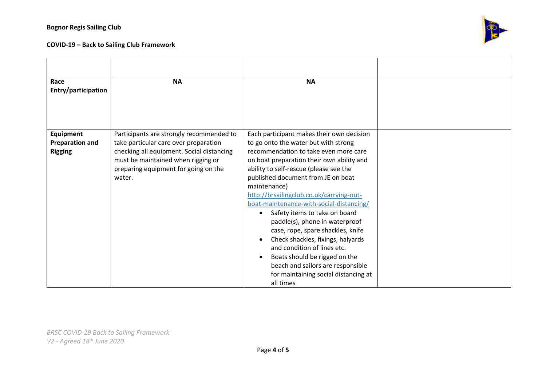## **Bognor Regis Sailing Club**

# **COVID-19 – Back to Sailing Club Framework**



| Race<br>Entry/participation                                  | <b>NA</b>                                                                                                                                                                                                              | <b>NA</b>                                                                                                                                                                                                                                                                                                                                                                                                                                                                                                                                                                                                                                                                                        |  |
|--------------------------------------------------------------|------------------------------------------------------------------------------------------------------------------------------------------------------------------------------------------------------------------------|--------------------------------------------------------------------------------------------------------------------------------------------------------------------------------------------------------------------------------------------------------------------------------------------------------------------------------------------------------------------------------------------------------------------------------------------------------------------------------------------------------------------------------------------------------------------------------------------------------------------------------------------------------------------------------------------------|--|
|                                                              |                                                                                                                                                                                                                        |                                                                                                                                                                                                                                                                                                                                                                                                                                                                                                                                                                                                                                                                                                  |  |
| <b>Equipment</b><br><b>Preparation and</b><br><b>Rigging</b> | Participants are strongly recommended to<br>take particular care over preparation<br>checking all equipment. Social distancing<br>must be maintained when rigging or<br>preparing equipment for going on the<br>water. | Each participant makes their own decision<br>to go onto the water but with strong<br>recommendation to take even more care<br>on boat preparation their own ability and<br>ability to self-rescue (please see the<br>published document from JE on boat<br>maintenance)<br>http://brsailingclub.co.uk/carrying-out-<br>boat-maintenance-with-social-distancing/<br>Safety items to take on board<br>$\bullet$<br>paddle(s), phone in waterproof<br>case, rope, spare shackles, knife<br>Check shackles, fixings, halyards<br>and condition of lines etc.<br>Boats should be rigged on the<br>$\bullet$<br>beach and sailors are responsible<br>for maintaining social distancing at<br>all times |  |